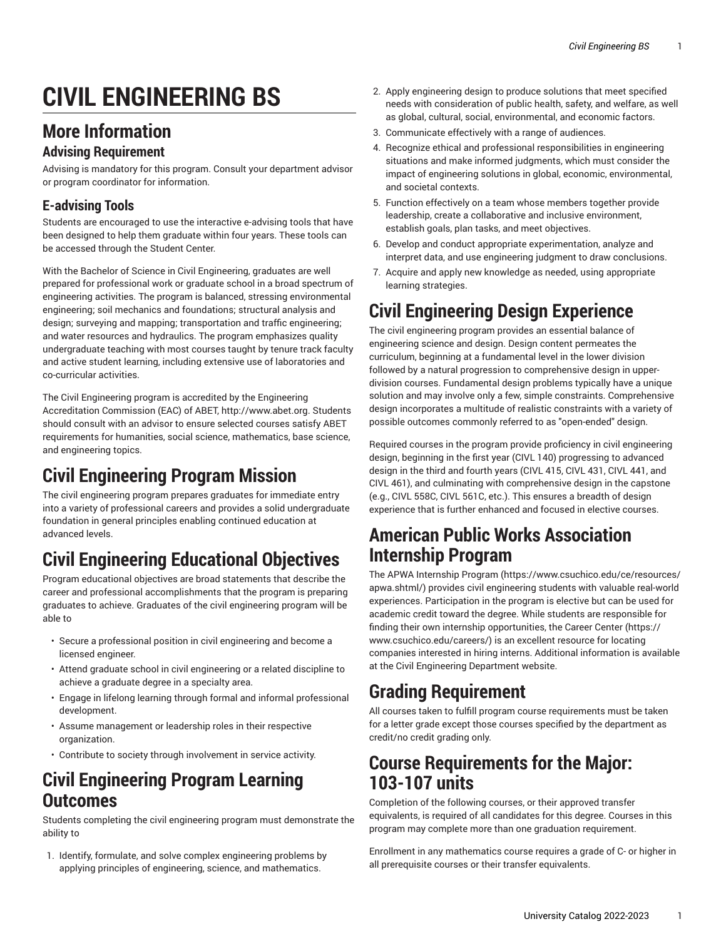# **CIVIL ENGINEERING BS**

#### **More Information**

#### **Advising Requirement**

Advising is mandatory for this program. Consult your department advisor or program coordinator for information.

#### **E-advising Tools**

Students are encouraged to use the interactive e-advising tools that have been designed to help them graduate within four years. These tools can be accessed through the Student Center.

With the Bachelor of Science in Civil Engineering, graduates are well prepared for professional work or graduate school in a broad spectrum of engineering activities. The program is balanced, stressing environmental engineering; soil mechanics and foundations; structural analysis and design; surveying and mapping; transportation and traffic engineering; and water resources and hydraulics. The program emphasizes quality undergraduate teaching with most courses taught by tenure track faculty and active student learning, including extensive use of laboratories and co-curricular activities.

The Civil Engineering program is accredited by the Engineering Accreditation Commission (EAC) of ABET, [http://www.abet.org.](http://www.abet.org) Students should consult with an advisor to ensure selected courses satisfy ABET requirements for humanities, social science, mathematics, base science, and engineering topics.

## **Civil Engineering Program Mission**

The civil engineering program prepares graduates for immediate entry into a variety of professional careers and provides a solid undergraduate foundation in general principles enabling continued education at advanced levels.

## **Civil Engineering Educational Objectives**

Program educational objectives are broad statements that describe the career and professional accomplishments that the program is preparing graduates to achieve. Graduates of the civil engineering program will be able to

- Secure a professional position in civil engineering and become a licensed engineer.
- Attend graduate school in civil engineering or a related discipline to achieve a graduate degree in a specialty area.
- Engage in lifelong learning through formal and informal professional development.
- Assume management or leadership roles in their respective organization.
- Contribute to society through involvement in service activity.

#### **Civil Engineering Program Learning Outcomes**

Students completing the civil engineering program must demonstrate the ability to

1. Identify, formulate, and solve complex engineering problems by applying principles of engineering, science, and mathematics.

- 2. Apply engineering design to produce solutions that meet specified needs with consideration of public health, safety, and welfare, as well as global, cultural, social, environmental, and economic factors.
- 3. Communicate effectively with a range of audiences.
- 4. Recognize ethical and professional responsibilities in engineering situations and make informed judgments, which must consider the impact of engineering solutions in global, economic, environmental, and societal contexts.
- 5. Function effectively on a team whose members together provide leadership, create a collaborative and inclusive environment, establish goals, plan tasks, and meet objectives.
- 6. Develop and conduct appropriate experimentation, analyze and interpret data, and use engineering judgment to draw conclusions.
- 7. Acquire and apply new knowledge as needed, using appropriate learning strategies.

## **Civil Engineering Design Experience**

The civil engineering program provides an essential balance of engineering science and design. Design content permeates the curriculum, beginning at a fundamental level in the lower division followed by a natural progression to comprehensive design in upperdivision courses. Fundamental design problems typically have a unique solution and may involve only a few, simple constraints. Comprehensive design incorporates a multitude of realistic constraints with a variety of possible outcomes commonly referred to as "open-ended" design.

Required courses in the program provide proficiency in civil engineering design, beginning in the first year (CIVL 140) progressing to advanced design in the third and fourth years (CIVL 415, CIVL 431, CIVL 441, and CIVL 461), and culminating with comprehensive design in the capstone (e.g., CIVL 558C, CIVL 561C, etc.). This ensures a breadth of design experience that is further enhanced and focused in elective courses.

## **American Public Works Association Internship Program**

The APWA [Internship](https://www.csuchico.edu/ce/resources/apwa.shtml/) Program [\(https://www.csuchico.edu/ce/resources/](https://www.csuchico.edu/ce/resources/apwa.shtml/) [apwa.shtml/\)](https://www.csuchico.edu/ce/resources/apwa.shtml/) provides civil engineering students with valuable real-world experiences. Participation in the program is elective but can be used for academic credit toward the degree. While students are responsible for finding their own internship opportunities, the Career [Center](https://www.csuchico.edu/careers/) [\(https://](https://www.csuchico.edu/careers/) [www.csuchico.edu/careers/](https://www.csuchico.edu/careers/)) is an excellent resource for locating companies interested in hiring interns. Additional information is available at the Civil Engineering Department website.

## **Grading Requirement**

All courses taken to fulfill program course requirements must be taken for a letter grade except those courses specified by the department as credit/no credit grading only.

#### **Course Requirements for the Major: 103-107 units**

Completion of the following courses, or their approved transfer equivalents, is required of all candidates for this degree. Courses in this program may complete more than one graduation requirement.

Enrollment in any mathematics course requires a grade of C- or higher in all prerequisite courses or their transfer equivalents.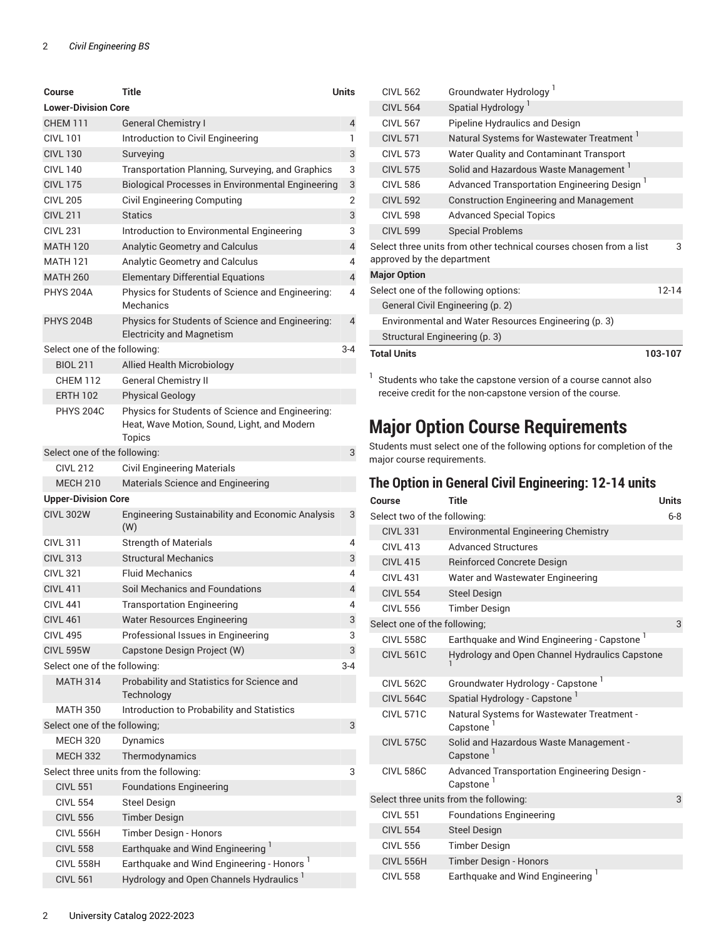| Course                       | Title                                                                                                     | Units          |
|------------------------------|-----------------------------------------------------------------------------------------------------------|----------------|
| <b>Lower-Division Core</b>   |                                                                                                           |                |
| <b>CHEM 111</b>              | <b>General Chemistry I</b>                                                                                | 4              |
| <b>CIVL 101</b>              | Introduction to Civil Engineering                                                                         | 1              |
| <b>CIVL 130</b>              | Surveying                                                                                                 | 3              |
| <b>CIVL 140</b>              | Transportation Planning, Surveying, and Graphics                                                          | 3              |
| <b>CIVL 175</b>              | Biological Processes in Environmental Engineering                                                         | 3              |
| <b>CIVL 205</b>              | Civil Engineering Computing                                                                               | 2              |
| <b>CIVL 211</b>              | <b>Statics</b>                                                                                            | 3              |
| <b>CIVL 231</b>              | Introduction to Environmental Engineering                                                                 | 3              |
| <b>MATH 120</b>              | Analytic Geometry and Calculus                                                                            | 4              |
| <b>MATH 121</b>              | Analytic Geometry and Calculus                                                                            | 4              |
| <b>MATH 260</b>              | <b>Elementary Differential Equations</b>                                                                  | $\overline{4}$ |
| <b>PHYS 204A</b>             | Physics for Students of Science and Engineering:<br><b>Mechanics</b>                                      | 4              |
| <b>PHYS 204B</b>             | Physics for Students of Science and Engineering:<br><b>Electricity and Magnetism</b>                      | 4              |
| Select one of the following: |                                                                                                           | 3-4            |
| <b>BIOL 211</b>              | Allied Health Microbiology                                                                                |                |
| <b>CHEM 112</b>              | <b>General Chemistry II</b>                                                                               |                |
| <b>ERTH 102</b>              | <b>Physical Geology</b>                                                                                   |                |
| <b>PHYS 204C</b>             | Physics for Students of Science and Engineering:<br>Heat, Wave Motion, Sound, Light, and Modern<br>Topics |                |
| Select one of the following: |                                                                                                           | 3              |
| <b>CIVL 212</b>              | <b>Civil Engineering Materials</b>                                                                        |                |
| <b>MECH 210</b>              | Materials Science and Engineering                                                                         |                |
| <b>Upper-Division Core</b>   |                                                                                                           |                |
| <b>CIVL 302W</b>             | Engineering Sustainability and Economic Analysis<br>(W)                                                   | 3              |
| <b>CIVL 311</b>              | <b>Strength of Materials</b>                                                                              | 4              |
| <b>CIVL 313</b>              | <b>Structural Mechanics</b>                                                                               | 3              |
| <b>CIVL 321</b>              | <b>Fluid Mechanics</b>                                                                                    | 4              |
| <b>CIVL 411</b>              | Soil Mechanics and Foundations                                                                            | 4              |
| <b>CIVL 441</b>              | <b>Transportation Engineering</b>                                                                         | 4              |
| <b>CIVL 461</b>              | <b>Water Resources Engineering</b>                                                                        | 3              |
| <b>CIVL 495</b>              | Professional Issues in Engineering                                                                        | 3              |
| <b>CIVL 595W</b>             | Capstone Design Project (W)                                                                               | 3              |
| Select one of the following: |                                                                                                           | $3 - 4$        |
| <b>MATH 314</b>              | Probability and Statistics for Science and<br>Technology                                                  |                |
| <b>MATH 350</b>              | Introduction to Probability and Statistics                                                                |                |
| Select one of the following; |                                                                                                           | 3              |
| <b>MECH 320</b>              | Dynamics                                                                                                  |                |
| <b>MECH 332</b>              | Thermodynamics                                                                                            |                |
|                              | Select three units from the following:                                                                    | 3              |
| <b>CIVL 551</b>              | <b>Foundations Engineering</b>                                                                            |                |
| <b>CIVL 554</b>              | <b>Steel Design</b>                                                                                       |                |
| <b>CIVL 556</b>              | <b>Timber Design</b>                                                                                      |                |
| CIVL 556H                    | Timber Design - Honors                                                                                    |                |
| <b>CIVL 558</b>              | Earthquake and Wind Engineering                                                                           |                |
| <b>CIVL 558H</b>             | Earthquake and Wind Engineering - Honors <sup>1</sup>                                                     |                |
| <b>CIVL 561</b>              | Hydrology and Open Channels Hydraulics '                                                                  |                |

| <b>CIVL 562</b>                                                                                       | Groundwater Hydrology <sup>1</sup>                      |  |  |
|-------------------------------------------------------------------------------------------------------|---------------------------------------------------------|--|--|
| <b>CIVL 564</b>                                                                                       | Spatial Hydrology <sup>1</sup>                          |  |  |
| <b>CIVL 567</b>                                                                                       | Pipeline Hydraulics and Design                          |  |  |
| <b>CIVL 571</b>                                                                                       | Natural Systems for Wastewater Treatment 1              |  |  |
| <b>CIVL 573</b>                                                                                       | Water Quality and Contaminant Transport                 |  |  |
| <b>CIVL 575</b>                                                                                       | Solid and Hazardous Waste Management <sup>1</sup>       |  |  |
| <b>CIVL 586</b>                                                                                       | Advanced Transportation Engineering Design <sup>1</sup> |  |  |
| <b>CIVL 592</b>                                                                                       | <b>Construction Engineering and Management</b>          |  |  |
| <b>CIVL 598</b>                                                                                       | <b>Advanced Special Topics</b>                          |  |  |
| <b>CIVL 599</b>                                                                                       | <b>Special Problems</b>                                 |  |  |
| Select three units from other technical courses chosen from a list<br>3<br>approved by the department |                                                         |  |  |
| <b>Major Option</b>                                                                                   |                                                         |  |  |
| Select one of the following options:<br>$12 - 14$                                                     |                                                         |  |  |
| General Civil Engineering (p. 2)                                                                      |                                                         |  |  |
| Environmental and Water Resources Engineering (p. 3)                                                  |                                                         |  |  |
| Structural Engineering (p. 3)                                                                         |                                                         |  |  |
| <b>Total Units</b><br>103-107                                                                         |                                                         |  |  |

 $1$  Students who take the capstone version of a course cannot also receive credit for the non-capstone version of the course.

#### **Major Option Course Requirements**

Students must select one of the following options for completion of the major course requirements.

#### <span id="page-1-0"></span>**The Option in General Civil Engineering: 12-14 units**

| Course                                 | <b>Title</b>                                                          | <b>Units</b> |
|----------------------------------------|-----------------------------------------------------------------------|--------------|
| Select two of the following:           |                                                                       | $6 - 8$      |
| <b>CIVL 331</b>                        | <b>Environmental Engineering Chemistry</b>                            |              |
| <b>CIVL 413</b>                        | <b>Advanced Structures</b>                                            |              |
| <b>CIVL 415</b>                        | <b>Reinforced Concrete Design</b>                                     |              |
| <b>CIVL 431</b>                        | Water and Wastewater Engineering                                      |              |
| <b>CIVL 554</b>                        | <b>Steel Design</b>                                                   |              |
| <b>CIVL 556</b>                        | <b>Timber Design</b>                                                  |              |
| Select one of the following;           |                                                                       | 3            |
| <b>CIVL 558C</b>                       | Earthquake and Wind Engineering - Capstone <sup>1</sup>               |              |
| <b>CIVL 561C</b>                       | Hydrology and Open Channel Hydraulics Capstone                        |              |
| <b>CIVL 562C</b>                       | Groundwater Hydrology - Capstone <sup>1</sup>                         |              |
| <b>CIVL 564C</b>                       | Spatial Hydrology - Capstone <sup>1</sup>                             |              |
| <b>CIVL 571C</b>                       | Natural Systems for Wastewater Treatment -<br>Capstone                |              |
| <b>CIVL 575C</b>                       | Solid and Hazardous Waste Management -<br>Capstone <sup>1</sup>       |              |
| <b>CIVL 586C</b>                       | Advanced Transportation Engineering Design -<br>Capstone <sup>1</sup> |              |
| Select three units from the following: |                                                                       | 3            |
| <b>CIVL 551</b>                        | <b>Foundations Engineering</b>                                        |              |
| <b>CIVL 554</b>                        | <b>Steel Design</b>                                                   |              |
| <b>CIVL 556</b>                        | <b>Timber Design</b>                                                  |              |
| <b>CIVL 556H</b>                       | <b>Timber Design - Honors</b>                                         |              |
| <b>CIVL 558</b>                        | Earthquake and Wind Engineering <sup>1</sup>                          |              |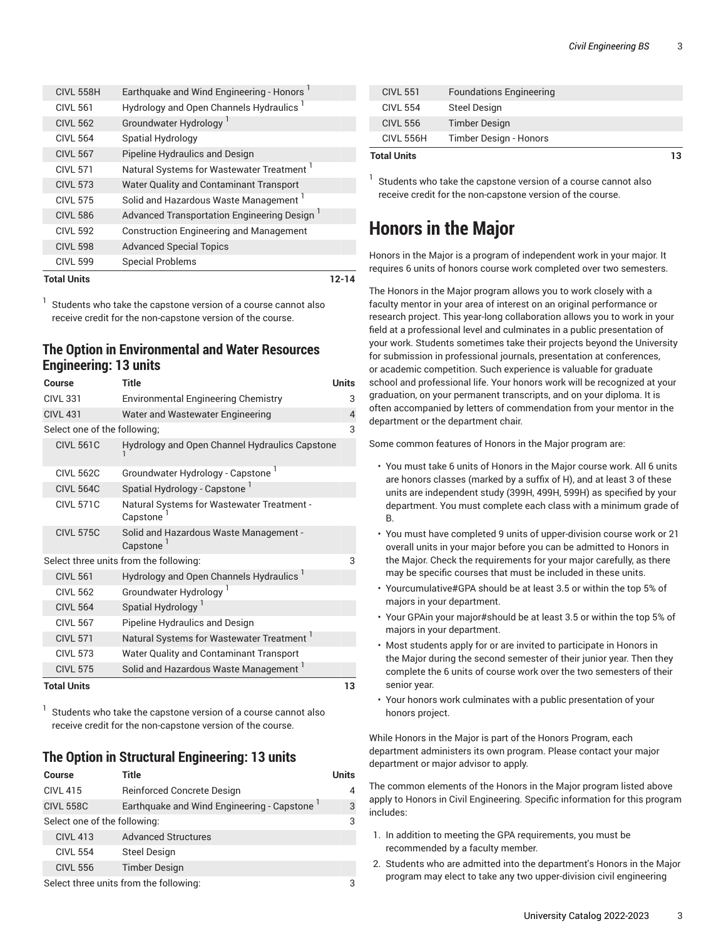| <b>Total Units</b> |                                                         | 12-14 |
|--------------------|---------------------------------------------------------|-------|
| <b>CIVL 599</b>    | <b>Special Problems</b>                                 |       |
| <b>CIVL 598</b>    | <b>Advanced Special Topics</b>                          |       |
| <b>CIVL 592</b>    | <b>Construction Engineering and Management</b>          |       |
| <b>CIVL 586</b>    | Advanced Transportation Engineering Design <sup>1</sup> |       |
| <b>CIVL 575</b>    | Solid and Hazardous Waste Management <sup>1</sup>       |       |
| <b>CIVL 573</b>    | Water Quality and Contaminant Transport                 |       |
| <b>CIVL 571</b>    | Natural Systems for Wastewater Treatment                |       |
| <b>CIVL 567</b>    | Pipeline Hydraulics and Design                          |       |
| <b>CIVL 564</b>    | <b>Spatial Hydrology</b>                                |       |
| <b>CIVL 562</b>    | Groundwater Hydrology <sup>1</sup>                      |       |
| <b>CIVL 561</b>    | Hydrology and Open Channels Hydraulics <sup>1</sup>     |       |
| <b>CIVL 558H</b>   | Earthquake and Wind Engineering - Honors <sup>1</sup>   |       |

1 Students who take the capstone version of a course cannot also receive credit for the non-capstone version of the course.

#### <span id="page-2-0"></span>**The Option in Environmental and Water Resources Engineering: 13 units**

| Course                       | <b>Title</b>                                                    | <b>Units</b> |
|------------------------------|-----------------------------------------------------------------|--------------|
| <b>CIVL 331</b>              | <b>Environmental Engineering Chemistry</b>                      | 3            |
| <b>CIVL 431</b>              | Water and Wastewater Engineering                                | 4            |
| Select one of the following; |                                                                 | 3            |
| <b>CIVL 561C</b>             | Hydrology and Open Channel Hydraulics Capstone                  |              |
| <b>CIVL 562C</b>             | Groundwater Hydrology - Capstone                                |              |
| <b>CIVL 564C</b>             | Spatial Hydrology - Capstone <sup>1</sup>                       |              |
| <b>CIVL 571C</b>             | Natural Systems for Wastewater Treatment -<br>Capstone          |              |
| <b>CIVL 575C</b>             | Solid and Hazardous Waste Management -<br>Capstone <sup>1</sup> |              |
|                              | Select three units from the following:                          | 3            |
| <b>CIVL 561</b>              | Hydrology and Open Channels Hydraulics                          |              |
| <b>CIVL 562</b>              | Groundwater Hydrology <sup>1</sup>                              |              |
| <b>CIVL 564</b>              | Spatial Hydrology <sup>1</sup>                                  |              |
| <b>CIVL 567</b>              | Pipeline Hydraulics and Design                                  |              |
| <b>CIVL 571</b>              | Natural Systems for Wastewater Treatment '                      |              |
| <b>CIVL 573</b>              | <b>Water Quality and Contaminant Transport</b>                  |              |
| <b>CIVL 575</b>              | Solid and Hazardous Waste Management <sup>1</sup>               |              |
| <b>Total Units</b>           |                                                                 | 13           |

1 Students who take the capstone version of a course cannot also receive credit for the non-capstone version of the course.

#### <span id="page-2-1"></span>**The Option in Structural Engineering: 13 units**

| <b>Course</b>                          | Title                                      | Units |
|----------------------------------------|--------------------------------------------|-------|
| <b>CIVL 415</b>                        | Reinforced Concrete Design                 | 4     |
| <b>CIVL 558C</b>                       | Earthquake and Wind Engineering - Capstone | 3     |
| Select one of the following:           |                                            |       |
| <b>CIVL 413</b>                        | <b>Advanced Structures</b>                 |       |
| <b>CIVL 554</b>                        | <b>Steel Design</b>                        |       |
| <b>CIVL 556</b>                        | <b>Timber Design</b>                       |       |
| Select three units from the following: |                                            |       |

| <b>Total Units</b> |                                | 13 |
|--------------------|--------------------------------|----|
| <b>CIVL 556H</b>   | Timber Design - Honors         |    |
| <b>CIVL 556</b>    | <b>Timber Design</b>           |    |
| <b>CIVL 554</b>    | <b>Steel Design</b>            |    |
| <b>CIVL 551</b>    | <b>Foundations Engineering</b> |    |

 $1$  Students who take the capstone version of a course cannot also receive credit for the non-capstone version of the course.

## **Honors in the Major**

Honors in the Major is a program of independent work in your major. It requires 6 units of honors course work completed over two semesters.

The Honors in the Major program allows you to work closely with a faculty mentor in your area of interest on an original performance or research project. This year-long collaboration allows you to work in your field at a professional level and culminates in a public presentation of your work. Students sometimes take their projects beyond the University for submission in professional journals, presentation at conferences, or academic competition. Such experience is valuable for graduate school and professional life. Your honors work will be recognized at your graduation, on your permanent transcripts, and on your diploma. It is often accompanied by letters of commendation from your mentor in the department or the department chair.

Some common features of Honors in the Major program are:

- You must take 6 units of Honors in the Major course work. All 6 units are honors classes (marked by a suffix of H), and at least 3 of these units are independent study (399H, 499H, 599H) as specified by your department. You must complete each class with a minimum grade of B.
- You must have completed 9 units of upper-division course work or 21 overall units in your major before you can be admitted to Honors in the Major. Check the requirements for your major carefully, as there may be specific courses that must be included in these units.
- Yourcumulative#GPA should be at least 3.5 or within the top 5% of majors in your department.
- Your GPAin your major#should be at least 3.5 or within the top 5% of majors in your department.
- Most students apply for or are invited to participate in Honors in the Major during the second semester of their junior year. Then they complete the 6 units of course work over the two semesters of their senior year.
- Your honors work culminates with a public presentation of your honors project.

While Honors in the Major is part of the Honors Program, each department administers its own program. Please contact your major department or major advisor to apply.

The common elements of the Honors in the Major program listed above apply to Honors in Civil Engineering. Specific information for this program includes:

- 1. In addition to meeting the GPA requirements, you must be recommended by a faculty member.
- 2. Students who are admitted into the department's Honors in the Major program may elect to take any two upper-division civil engineering